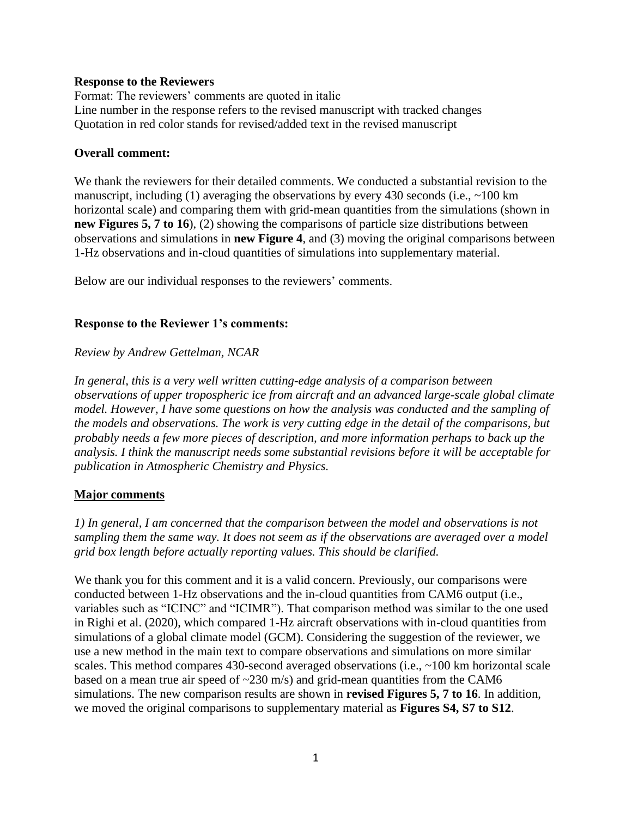### **Response to the Reviewers**

Format: The reviewers' comments are quoted in italic Line number in the response refers to the revised manuscript with tracked changes Quotation in red color stands for revised/added text in the revised manuscript

### **Overall comment:**

We thank the reviewers for their detailed comments. We conducted a substantial revision to the manuscript, including (1) averaging the observations by every 430 seconds (i.e.,  $\sim$ 100 km horizontal scale) and comparing them with grid-mean quantities from the simulations (shown in **new Figures 5, 7 to 16**), (2) showing the comparisons of particle size distributions between observations and simulations in **new Figure 4**, and (3) moving the original comparisons between 1-Hz observations and in-cloud quantities of simulations into supplementary material.

Below are our individual responses to the reviewers' comments.

## **Response to the Reviewer 1's comments:**

### *Review by Andrew Gettelman, NCAR*

*In general, this is a very well written cutting-edge analysis of a comparison between observations of upper tropospheric ice from aircraft and an advanced large-scale global climate model. However, I have some questions on how the analysis was conducted and the sampling of the models and observations. The work is very cutting edge in the detail of the comparisons, but probably needs a few more pieces of description, and more information perhaps to back up the analysis. I think the manuscript needs some substantial revisions before it will be acceptable for publication in Atmospheric Chemistry and Physics.*

#### **Major comments**

*1) In general, I am concerned that the comparison between the model and observations is not sampling them the same way. It does not seem as if the observations are averaged over a model grid box length before actually reporting values. This should be clarified.*

We thank you for this comment and it is a valid concern. Previously, our comparisons were conducted between 1-Hz observations and the in-cloud quantities from CAM6 output (i.e., variables such as "ICINC" and "ICIMR"). That comparison method was similar to the one used in Righi et al. (2020), which compared 1-Hz aircraft observations with in-cloud quantities from simulations of a global climate model (GCM). Considering the suggestion of the reviewer, we use a new method in the main text to compare observations and simulations on more similar scales. This method compares 430-second averaged observations (i.e., ~100 km horizontal scale based on a mean true air speed of  $\sim$ 230 m/s) and grid-mean quantities from the CAM6 simulations. The new comparison results are shown in **revised Figures 5, 7 to 16**. In addition, we moved the original comparisons to supplementary material as **Figures S4, S7 to S12**.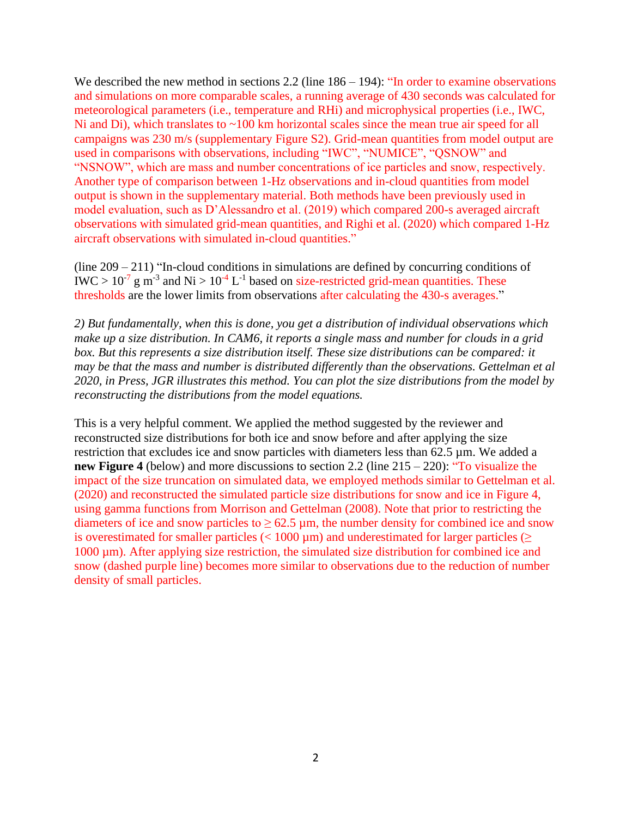We described the new method in sections 2.2 (line  $186 - 194$ ): "In order to examine observations and simulations on more comparable scales, a running average of 430 seconds was calculated for meteorological parameters (i.e., temperature and RHi) and microphysical properties (i.e., IWC, Ni and Di), which translates to ~100 km horizontal scales since the mean true air speed for all campaigns was 230 m/s (supplementary Figure S2). Grid-mean quantities from model output are used in comparisons with observations, including "IWC", "NUMICE", "QSNOW" and "NSNOW", which are mass and number concentrations of ice particles and snow, respectively. Another type of comparison between 1-Hz observations and in-cloud quantities from model output is shown in the supplementary material. Both methods have been previously used in model evaluation, such as D'Alessandro et al. (2019) which compared 200-s averaged aircraft observations with simulated grid-mean quantities, and Righi et al. (2020) which compared 1-Hz aircraft observations with simulated in-cloud quantities."

(line 209 – 211) "In-cloud conditions in simulations are defined by concurring conditions of IWC >  $10^{-7}$  g m<sup>-3</sup> and Ni >  $10^{-4}$  L<sup>-1</sup> based on size-restricted grid-mean quantities. These thresholds are the lower limits from observations after calculating the 430-s averages."

*2) But fundamentally, when this is done, you get a distribution of individual observations which make up a size distribution. In CAM6, it reports a single mass and number for clouds in a grid box. But this represents a size distribution itself. These size distributions can be compared: it may be that the mass and number is distributed differently than the observations. Gettelman et al 2020, in Press, JGR illustrates this method. You can plot the size distributions from the model by reconstructing the distributions from the model equations.*

This is a very helpful comment. We applied the method suggested by the reviewer and reconstructed size distributions for both ice and snow before and after applying the size restriction that excludes ice and snow particles with diameters less than 62.5 µm. We added a **new Figure 4** (below) and more discussions to section 2.2 (line 215 – 220): "To visualize the impact of the size truncation on simulated data, we employed methods similar to Gettelman et al. (2020) and reconstructed the simulated particle size distributions for snow and ice in Figure 4, using gamma functions from Morrison and Gettelman (2008). Note that prior to restricting the diameters of ice and snow particles to  $\geq 62.5 \,\mu$ m, the number density for combined ice and snow is overestimated for smaller particles ( $<$  1000 µm) and underestimated for larger particles ( $\ge$ 1000 µm). After applying size restriction, the simulated size distribution for combined ice and snow (dashed purple line) becomes more similar to observations due to the reduction of number density of small particles.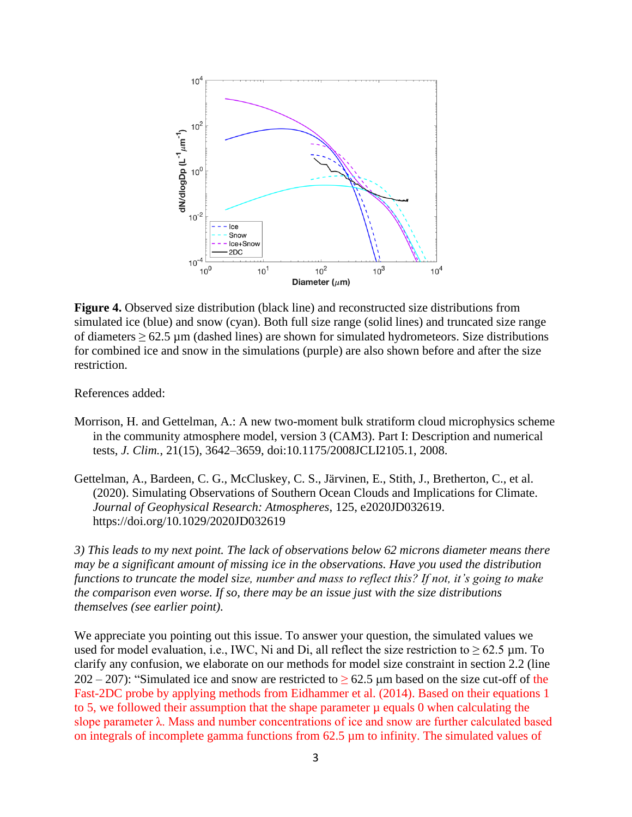

**Figure 4.** Observed size distribution (black line) and reconstructed size distributions from simulated ice (blue) and snow (cyan). Both full size range (solid lines) and truncated size range of diameters  $\geq 62.5$  µm (dashed lines) are shown for simulated hydrometeors. Size distributions for combined ice and snow in the simulations (purple) are also shown before and after the size restriction.

References added:

- Morrison, H. and Gettelman, A.: A new two-moment bulk stratiform cloud microphysics scheme in the community atmosphere model, version 3 (CAM3). Part I: Description and numerical tests, *J. Clim.*, 21(15), 3642–3659, doi:10.1175/2008JCLI2105.1, 2008.
- Gettelman, A., Bardeen, C. G., McCluskey, C. S., Järvinen, E., Stith, J., Bretherton, C., et al. (2020). Simulating Observations of Southern Ocean Clouds and Implications for Climate. *Journal of Geophysical Research: Atmospheres*, 125, e2020JD032619. https://doi.org/10.1029/2020JD032619

*3) This leads to my next point. The lack of observations below 62 microns diameter means there may be a significant amount of missing ice in the observations. Have you used the distribution functions to truncate the model size, number and mass to reflect this? If not, it's going to make the comparison even worse. If so, there may be an issue just with the size distributions themselves (see earlier point).*

We appreciate you pointing out this issue. To answer your question, the simulated values we used for model evaluation, i.e., IWC, Ni and Di, all reflect the size restriction to  $\geq 62.5$  µm. To clarify any confusion, we elaborate on our methods for model size constraint in section 2.2 (line 202 – 207): "Simulated ice and snow are restricted to  $\geq$  62.5 µm based on the size cut-off of the Fast-2DC probe by applying methods from Eidhammer et al. (2014). Based on their equations 1 to 5, we followed their assumption that the shape parameter  $\mu$  equals 0 when calculating the slope parameter λ. Mass and number concentrations of ice and snow are further calculated based on integrals of incomplete gamma functions from 62.5 µm to infinity. The simulated values of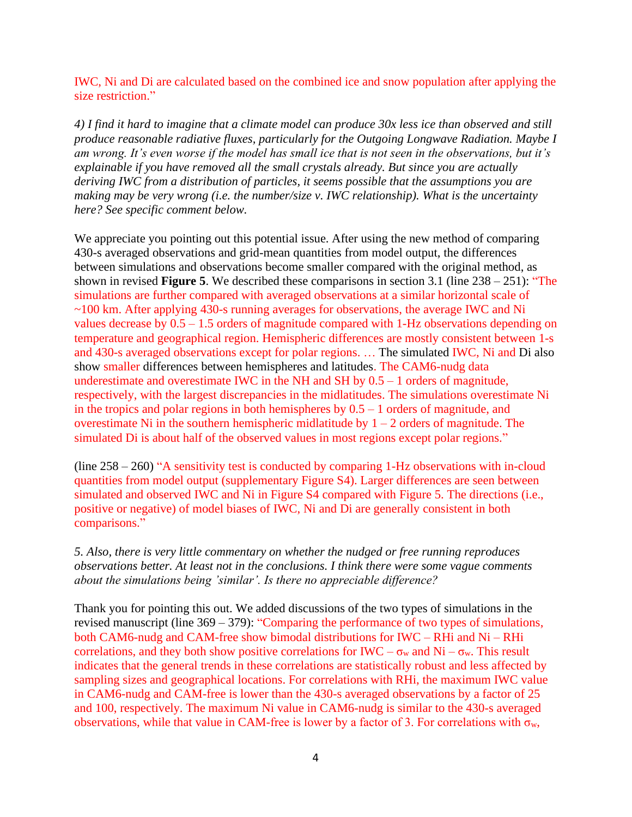IWC, Ni and Di are calculated based on the combined ice and snow population after applying the size restriction."

*4) I find it hard to imagine that a climate model can produce 30x less ice than observed and still produce reasonable radiative fluxes, particularly for the Outgoing Longwave Radiation. Maybe I am wrong. It's even worse if the model has small ice that is not seen in the observations, but it's explainable if you have removed all the small crystals already. But since you are actually deriving IWC from a distribution of particles, it seems possible that the assumptions you are making may be very wrong (i.e. the number/size v. IWC relationship). What is the uncertainty here? See specific comment below.*

We appreciate you pointing out this potential issue. After using the new method of comparing 430-s averaged observations and grid-mean quantities from model output, the differences between simulations and observations become smaller compared with the original method, as shown in revised **Figure 5**. We described these comparisons in section 3.1 (line 238 – 251): "The simulations are further compared with averaged observations at a similar horizontal scale of ~100 km. After applying 430-s running averages for observations, the average IWC and Ni values decrease by 0.5 – 1.5 orders of magnitude compared with 1-Hz observations depending on temperature and geographical region. Hemispheric differences are mostly consistent between 1-s and 430-s averaged observations except for polar regions. … The simulated IWC, Ni and Di also show smaller differences between hemispheres and latitudes. The CAM6-nudg data underestimate and overestimate IWC in the NH and SH by  $0.5 - 1$  orders of magnitude, respectively, with the largest discrepancies in the midlatitudes. The simulations overestimate Ni in the tropics and polar regions in both hemispheres by  $0.5 - 1$  orders of magnitude, and overestimate Ni in the southern hemispheric midlatitude by  $1 - 2$  orders of magnitude. The simulated Di is about half of the observed values in most regions except polar regions."

(line 258 – 260) "A sensitivity test is conducted by comparing 1-Hz observations with in-cloud quantities from model output (supplementary Figure S4). Larger differences are seen between simulated and observed IWC and Ni in Figure S4 compared with Figure 5. The directions (i.e., positive or negative) of model biases of IWC, Ni and Di are generally consistent in both comparisons."

*5. Also, there is very little commentary on whether the nudged or free running reproduces observations better. At least not in the conclusions. I think there were some vague comments about the simulations being 'similar'. Is there no appreciable difference?*

Thank you for pointing this out. We added discussions of the two types of simulations in the revised manuscript (line 369 – 379): "Comparing the performance of two types of simulations, both CAM6-nudg and CAM-free show bimodal distributions for IWC – RHi and Ni – RHi correlations, and they both show positive correlations for IWC –  $\sigma_w$  and Ni –  $\sigma_w$ . This result indicates that the general trends in these correlations are statistically robust and less affected by sampling sizes and geographical locations. For correlations with RHi, the maximum IWC value in CAM6-nudg and CAM-free is lower than the 430-s averaged observations by a factor of 25 and 100, respectively. The maximum Ni value in CAM6-nudg is similar to the 430-s averaged observations, while that value in CAM-free is lower by a factor of 3. For correlations with  $\sigma_w$ ,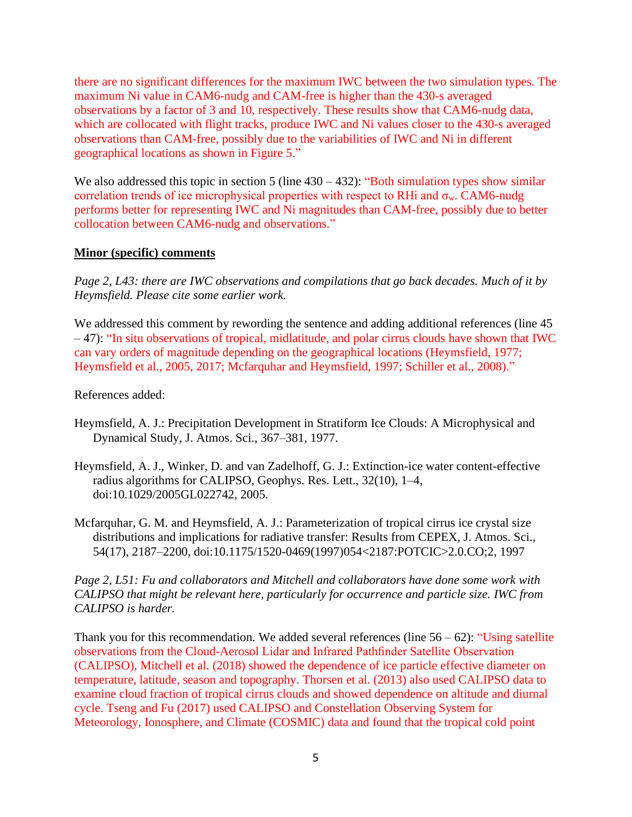there are no significant differences for the maximum IWC between the two simulation types. The maximum Ni value in CAM6-nudg and CAM-free is higher than the 430-s averaged observations by a factor of 3 and 10, respectively. These results show that CAM6-nudg data, which are collocated with flight tracks, produce IWC and Ni values closer to the 430-s averaged observations than CAM-free, possibly due to the variabilities of IWC and Ni in different geographical locations as shown in Figure 5."

We also addressed this topic in section 5 (line  $430 - 432$ ): "Both simulation types show similar correlation trends of ice microphysical properties with respect to RHi and  $\sigma_w$ . CAM6-nudg performs better for representing IWC and Ni magnitudes than CAM-free, possibly due to better collocation between CAM6-nudg and observations."

## **Minor (specific) comments**

*Page 2, L43: there are IWC observations and compilations that go back decades. Much of it by Heymsfield. Please cite some earlier work.*

We addressed this comment by rewording the sentence and adding additional references (line 45) – 47): "In situ observations of tropical, midlatitude, and polar cirrus clouds have shown that IWC can vary orders of magnitude depending on the geographical locations (Heymsfield, 1977; Heymsfield et al., 2005, 2017; Mcfarquhar and Heymsfield, 1997; Schiller et al., 2008)."

References added:

- Heymsfield, A. J.: Precipitation Development in Stratiform Ice Clouds: A Microphysical and Dynamical Study, J. Atmos. Sci., 367–381, 1977.
- Heymsfield, A. J., Winker, D. and van Zadelhoff, G. J.: Extinction-ice water content-effective radius algorithms for CALIPSO, Geophys. Res. Lett., 32(10), 1–4, doi:10.1029/2005GL022742, 2005.
- Mcfarquhar, G. M. and Heymsfield, A. J.: Parameterization of tropical cirrus ice crystal size distributions and implications for radiative transfer: Results from CEPEX, J. Atmos. Sci., 54(17), 2187–2200, doi:10.1175/1520-0469(1997)054<2187:POTCIC>2.0.CO;2, 1997

*Page 2, L51: Fu and collaborators and Mitchell and collaborators have done some work with CALIPSO that might be relevant here, particularly for occurrence and particle size. IWC from CALIPSO is harder.*

Thank you for this recommendation. We added several references (line  $56 - 62$ ): "Using satellite observations from the Cloud-Aerosol Lidar and Infrared Pathfinder Satellite Observation (CALIPSO), Mitchell et al. (2018) showed the dependence of ice particle effective diameter on temperature, latitude, season and topography. Thorsen et al. (2013) also used CALIPSO data to examine cloud fraction of tropical cirrus clouds and showed dependence on altitude and diurnal cycle. Tseng and Fu (2017) used CALIPSO and Constellation Observing System for Meteorology, Ionosphere, and Climate (COSMIC) data and found that the tropical cold point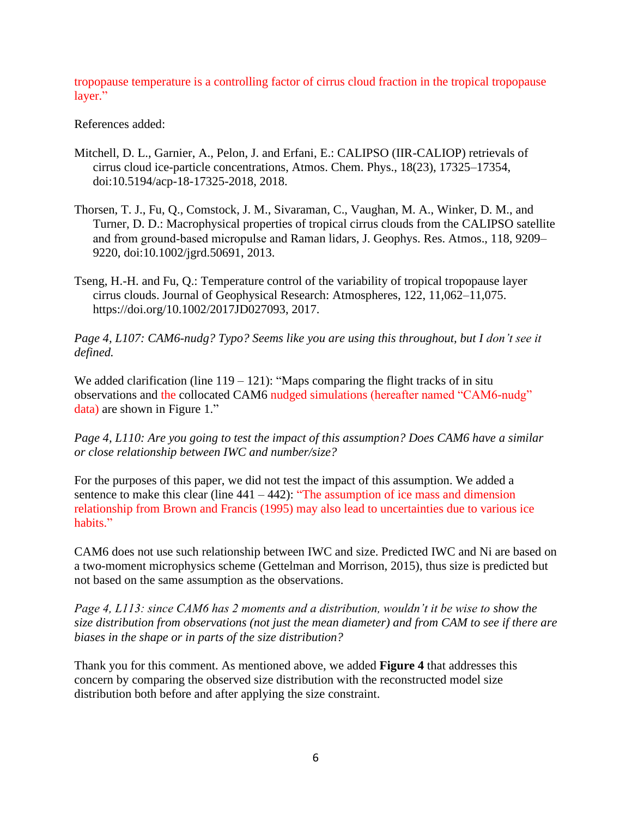tropopause temperature is a controlling factor of cirrus cloud fraction in the tropical tropopause layer."

# References added:

- Mitchell, D. L., Garnier, A., Pelon, J. and Erfani, E.: CALIPSO (IIR-CALIOP) retrievals of cirrus cloud ice-particle concentrations, Atmos. Chem. Phys., 18(23), 17325–17354, doi:10.5194/acp-18-17325-2018, 2018.
- Thorsen, T. J., Fu, Q., Comstock, J. M., Sivaraman, C., Vaughan, M. A., Winker, D. M., and Turner, D. D.: Macrophysical properties of tropical cirrus clouds from the CALIPSO satellite and from ground‐based micropulse and Raman lidars, J. Geophys. Res. Atmos., 118, 9209– 9220, doi:10.1002/jgrd.50691, 2013.
- Tseng, H.-H. and Fu, Q.: Temperature control of the variability of tropical tropopause layer cirrus clouds. Journal of Geophysical Research: Atmospheres, 122, 11,062–11,075. https://doi.org/10.1002/2017JD027093, 2017.

*Page 4, L107: CAM6-nudg? Typo? Seems like you are using this throughout, but I don't see it defined.*

We added clarification (line  $119 - 121$ ): "Maps comparing the flight tracks of in situ observations and the collocated CAM6 nudged simulations (hereafter named "CAM6-nudg" data) are shown in Figure 1."

*Page 4, L110: Are you going to test the impact of this assumption? Does CAM6 have a similar or close relationship between IWC and number/size?*

For the purposes of this paper, we did not test the impact of this assumption. We added a sentence to make this clear (line  $441 - 442$ ): "The assumption of ice mass and dimension relationship from Brown and Francis (1995) may also lead to uncertainties due to various ice habits."

CAM6 does not use such relationship between IWC and size. Predicted IWC and Ni are based on a two-moment microphysics scheme (Gettelman and Morrison, 2015), thus size is predicted but not based on the same assumption as the observations.

*Page 4, L113: since CAM6 has 2 moments and a distribution, wouldn't it be wise to show the size distribution from observations (not just the mean diameter) and from CAM to see if there are biases in the shape or in parts of the size distribution?*

Thank you for this comment. As mentioned above, we added **Figure 4** that addresses this concern by comparing the observed size distribution with the reconstructed model size distribution both before and after applying the size constraint.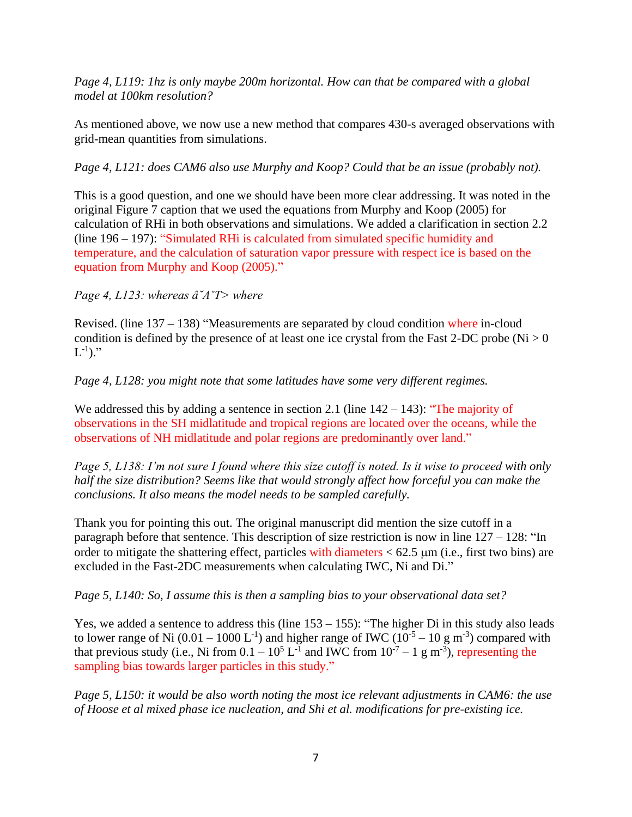*Page 4, L119: 1hz is only maybe 200m horizontal. How can that be compared with a global model at 100km resolution?*

As mentioned above, we now use a new method that compares 430-s averaged observations with grid-mean quantities from simulations.

*Page 4, L121: does CAM6 also use Murphy and Koop? Could that be an issue (probably not).* 

This is a good question, and one we should have been more clear addressing. It was noted in the original Figure 7 caption that we used the equations from Murphy and Koop (2005) for calculation of RHi in both observations and simulations. We added a clarification in section 2.2 (line 196 – 197): "Simulated RHi is calculated from simulated specific humidity and temperature, and the calculation of saturation vapor pressure with respect ice is based on the equation from Murphy and Koop (2005)."

*Page 4, L123: whereas â˘AˇT> where*

Revised. (line 137 – 138) "Measurements are separated by cloud condition where in-cloud condition is defined by the presence of at least one ice crystal from the Fast 2-DC probe ( $Ni > 0$ )  $\mathrm{L}^{\text{-}1}$ )."

*Page 4, L128: you might note that some latitudes have some very different regimes.*

We addressed this by adding a sentence in section 2.1 (line  $142 - 143$ ): "The majority of observations in the SH midlatitude and tropical regions are located over the oceans, while the observations of NH midlatitude and polar regions are predominantly over land."

*Page 5, L138: I'm not sure I found where this size cutoff is noted. Is it wise to proceed with only half the size distribution? Seems like that would strongly affect how forceful you can make the conclusions. It also means the model needs to be sampled carefully.*

Thank you for pointing this out. The original manuscript did mention the size cutoff in a paragraph before that sentence. This description of size restriction is now in line 127 – 128: "In order to mitigate the shattering effect, particles with diameters  $< 62.5$  µm (i.e., first two bins) are excluded in the Fast-2DC measurements when calculating IWC, Ni and Di."

*Page 5, L140: So, I assume this is then a sampling bias to your observational data set?*

Yes, we added a sentence to address this (line  $153 - 155$ ): "The higher Di in this study also leads to lower range of Ni  $(0.01 - 1000 \text{ L}^{-1})$  and higher range of IWC  $(10^{-5} - 10 \text{ g m}^{-3})$  compared with that previous study (i.e., Ni from  $0.1 - 10^5$  L<sup>-1</sup> and IWC from  $10^{-7} - 1$  g m<sup>-3</sup>), representing the sampling bias towards larger particles in this study."

*Page 5, L150: it would be also worth noting the most ice relevant adjustments in CAM6: the use of Hoose et al mixed phase ice nucleation, and Shi et al. modifications for pre-existing ice.*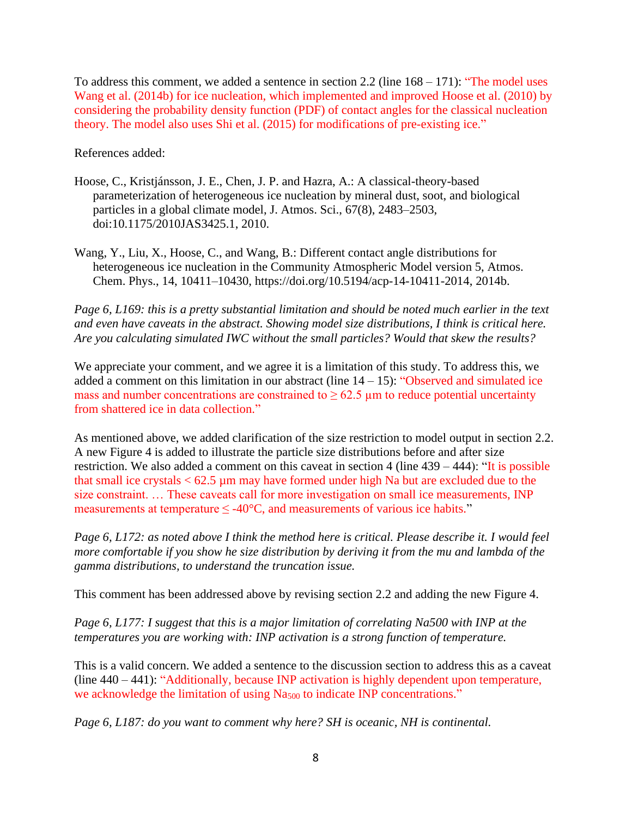To address this comment, we added a sentence in section  $2.2$  (line  $168 - 171$ ): "The model uses Wang et al. (2014b) for ice nucleation, which implemented and improved Hoose et al. (2010) by considering the probability density function (PDF) of contact angles for the classical nucleation theory. The model also uses Shi et al. (2015) for modifications of pre-existing ice."

References added:

- Hoose, C., Kristjánsson, J. E., Chen, J. P. and Hazra, A.: A classical-theory-based parameterization of heterogeneous ice nucleation by mineral dust, soot, and biological particles in a global climate model, J. Atmos. Sci., 67(8), 2483–2503, doi:10.1175/2010JAS3425.1, 2010.
- Wang, Y., Liu, X., Hoose, C., and Wang, B.: Different contact angle distributions for heterogeneous ice nucleation in the Community Atmospheric Model version 5, Atmos. Chem. Phys., 14, 10411–10430, https://doi.org/10.5194/acp-14-10411-2014, 2014b.

*Page 6, L169: this is a pretty substantial limitation and should be noted much earlier in the text and even have caveats in the abstract. Showing model size distributions, I think is critical here. Are you calculating simulated IWC without the small particles? Would that skew the results?*

We appreciate your comment, and we agree it is a limitation of this study. To address this, we added a comment on this limitation in our abstract (line  $14 - 15$ ): "Observed and simulated ice mass and number concentrations are constrained to  $\geq 62.5$  µm to reduce potential uncertainty from shattered ice in data collection."

As mentioned above, we added clarification of the size restriction to model output in section 2.2. A new Figure 4 is added to illustrate the particle size distributions before and after size restriction. We also added a comment on this caveat in section 4 (line 439 – 444): "It is possible that small ice crystals  $< 62.5 \mu m$  may have formed under high Na but are excluded due to the size constraint. … These caveats call for more investigation on small ice measurements, INP measurements at temperature  $\leq$  -40°C, and measurements of various ice habits."

*Page 6, L172: as noted above I think the method here is critical. Please describe it. I would feel more comfortable if you show he size distribution by deriving it from the mu and lambda of the gamma distributions, to understand the truncation issue.*

This comment has been addressed above by revising section 2.2 and adding the new Figure 4.

*Page 6, L177: I suggest that this is a major limitation of correlating Na500 with INP at the temperatures you are working with: INP activation is a strong function of temperature.*

This is a valid concern. We added a sentence to the discussion section to address this as a caveat (line 440 – 441): "Additionally, because INP activation is highly dependent upon temperature, we acknowledge the limitation of using Na<sub>500</sub> to indicate INP concentrations."

*Page 6, L187: do you want to comment why here? SH is oceanic, NH is continental.*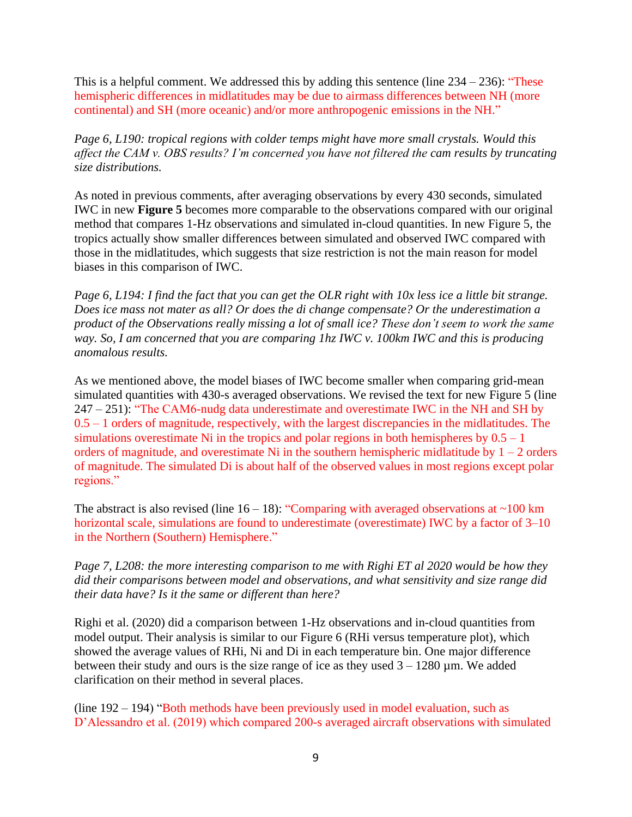This is a helpful comment. We addressed this by adding this sentence (line  $234 - 236$ ): "These hemispheric differences in midlatitudes may be due to airmass differences between NH (more continental) and SH (more oceanic) and/or more anthropogenic emissions in the NH."

*Page 6, L190: tropical regions with colder temps might have more small crystals. Would this affect the CAM v. OBS results? I'm concerned you have not filtered the cam results by truncating size distributions.*

As noted in previous comments, after averaging observations by every 430 seconds, simulated IWC in new **Figure 5** becomes more comparable to the observations compared with our original method that compares 1-Hz observations and simulated in-cloud quantities. In new Figure 5, the tropics actually show smaller differences between simulated and observed IWC compared with those in the midlatitudes, which suggests that size restriction is not the main reason for model biases in this comparison of IWC.

*Page 6, L194: I find the fact that you can get the OLR right with 10x less ice a little bit strange. Does ice mass not mater as all? Or does the di change compensate? Or the underestimation a product of the Observations really missing a lot of small ice? These don't seem to work the same way. So, I am concerned that you are comparing 1hz IWC v. 100km IWC and this is producing anomalous results.*

As we mentioned above, the model biases of IWC become smaller when comparing grid-mean simulated quantities with 430-s averaged observations. We revised the text for new Figure 5 (line 247 – 251): "The CAM6-nudg data underestimate and overestimate IWC in the NH and SH by  $0.5 - 1$  orders of magnitude, respectively, with the largest discrepancies in the midlatitudes. The simulations overestimate Ni in the tropics and polar regions in both hemispheres by  $0.5 - 1$ orders of magnitude, and overestimate Ni in the southern hemispheric midlatitude by  $1 - 2$  orders of magnitude. The simulated Di is about half of the observed values in most regions except polar regions."

The abstract is also revised (line  $16 - 18$ ): "Comparing with averaged observations at  $\sim 100$  km horizontal scale, simulations are found to underestimate (overestimate) IWC by a factor of 3–10 in the Northern (Southern) Hemisphere."

*Page 7, L208: the more interesting comparison to me with Righi ET al 2020 would be how they did their comparisons between model and observations, and what sensitivity and size range did their data have? Is it the same or different than here?*

Righi et al. (2020) did a comparison between 1-Hz observations and in-cloud quantities from model output. Their analysis is similar to our Figure 6 (RHi versus temperature plot), which showed the average values of RHi, Ni and Di in each temperature bin. One major difference between their study and ours is the size range of ice as they used  $3 - 1280 \,\mu$ m. We added clarification on their method in several places.

(line 192 – 194) "Both methods have been previously used in model evaluation, such as D'Alessandro et al. (2019) which compared 200-s averaged aircraft observations with simulated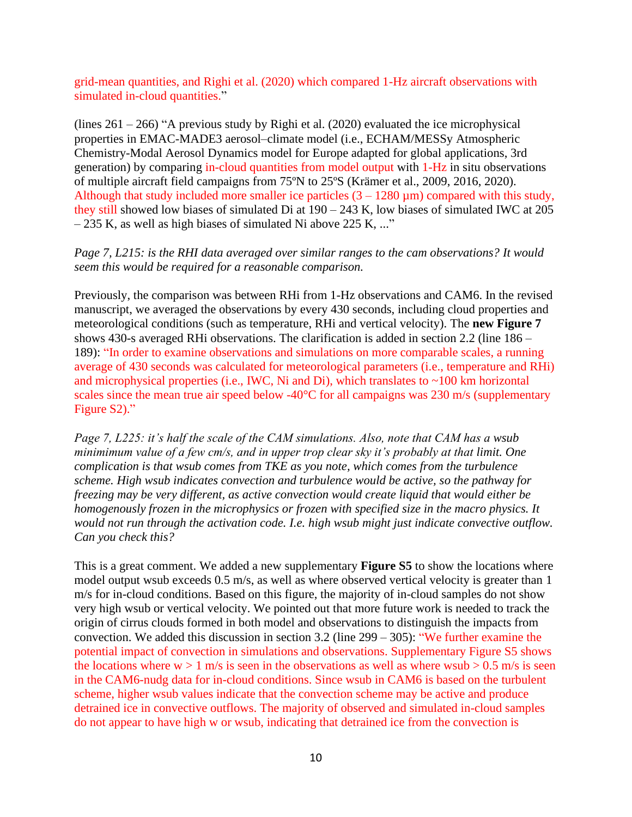grid-mean quantities, and Righi et al. (2020) which compared 1-Hz aircraft observations with simulated in-cloud quantities."

(lines  $261 - 266$ ) "A previous study by Righi et al. (2020) evaluated the ice microphysical properties in EMAC-MADE3 aerosol–climate model (i.e., ECHAM/MESSy Atmospheric Chemistry-Modal Aerosol Dynamics model for Europe adapted for global applications, 3rd generation) by comparing in-cloud quantities from model output with 1-Hz in situ observations of multiple aircraft field campaigns from 75ºN to 25ºS (Krämer et al., 2009, 2016, 2020). Although that study included more smaller ice particles  $(3 - 1280 \,\mu\text{m})$  compared with this study, they still showed low biases of simulated Di at 190 – 243 K, low biases of simulated IWC at 205  $-235$  K, as well as high biases of simulated Ni above 225 K, ..."

*Page 7, L215: is the RHI data averaged over similar ranges to the cam observations? It would seem this would be required for a reasonable comparison.*

Previously, the comparison was between RHi from 1-Hz observations and CAM6. In the revised manuscript, we averaged the observations by every 430 seconds, including cloud properties and meteorological conditions (such as temperature, RHi and vertical velocity). The **new Figure 7** shows 430-s averaged RHi observations. The clarification is added in section 2.2 (line 186 – 189): "In order to examine observations and simulations on more comparable scales, a running average of 430 seconds was calculated for meteorological parameters (i.e., temperature and RHi) and microphysical properties (i.e., IWC, Ni and Di), which translates to  $\sim$ 100 km horizontal scales since the mean true air speed below -40<sup>o</sup>C for all campaigns was 230 m/s (supplementary Figure S2)."

*Page 7, L225: it's half the scale of the CAM simulations. Also, note that CAM has a wsub minimimum value of a few cm/s, and in upper trop clear sky it's probably at that limit. One complication is that wsub comes from TKE as you note, which comes from the turbulence scheme. High wsub indicates convection and turbulence would be active, so the pathway for freezing may be very different, as active convection would create liquid that would either be homogenously frozen in the microphysics or frozen with specified size in the macro physics. It would not run through the activation code. I.e. high wsub might just indicate convective outflow. Can you check this?*

This is a great comment. We added a new supplementary **Figure S5** to show the locations where model output wsub exceeds 0.5 m/s, as well as where observed vertical velocity is greater than 1 m/s for in-cloud conditions. Based on this figure, the majority of in-cloud samples do not show very high wsub or vertical velocity. We pointed out that more future work is needed to track the origin of cirrus clouds formed in both model and observations to distinguish the impacts from convection. We added this discussion in section 3.2 (line 299 – 305): "We further examine the potential impact of convection in simulations and observations. Supplementary Figure S5 shows the locations where  $w > 1$  m/s is seen in the observations as well as where wsub  $> 0.5$  m/s is seen in the CAM6-nudg data for in-cloud conditions. Since wsub in CAM6 is based on the turbulent scheme, higher wsub values indicate that the convection scheme may be active and produce detrained ice in convective outflows. The majority of observed and simulated in-cloud samples do not appear to have high w or wsub, indicating that detrained ice from the convection is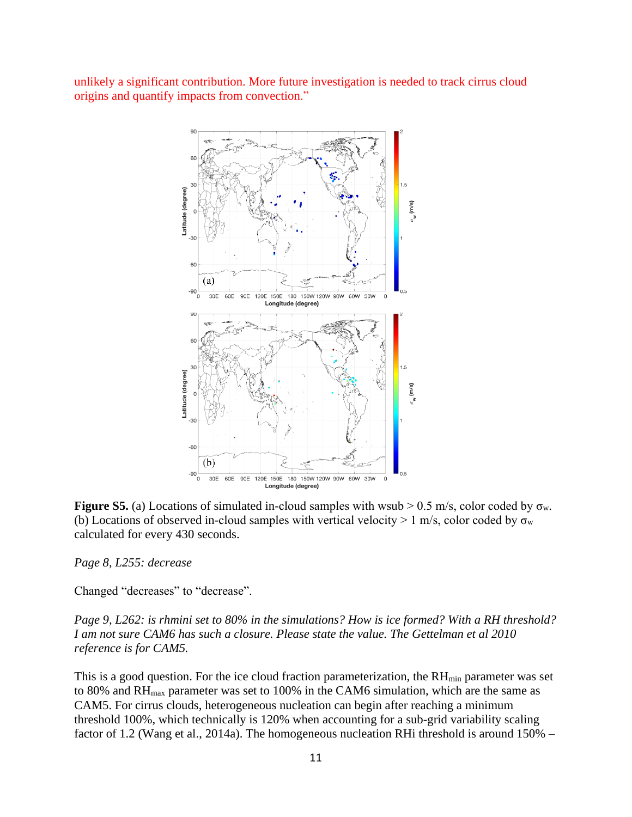unlikely a significant contribution. More future investigation is needed to track cirrus cloud origins and quantify impacts from convection."



**Figure S5.** (a) Locations of simulated in-cloud samples with wsub  $> 0.5$  m/s, color coded by  $\sigma_w$ . (b) Locations of observed in-cloud samples with vertical velocity  $> 1$  m/s, color coded by  $\sigma_w$ calculated for every 430 seconds.

*Page 8, L255: decrease*

Changed "decreases" to "decrease".

*Page 9, L262: is rhmini set to 80% in the simulations? How is ice formed? With a RH threshold? I am not sure CAM6 has such a closure. Please state the value. The Gettelman et al 2010 reference is for CAM5.*

This is a good question. For the ice cloud fraction parameterization, the  $RH_{min}$  parameter was set to 80% and RH<sub>max</sub> parameter was set to 100% in the CAM6 simulation, which are the same as CAM5. For cirrus clouds, heterogeneous nucleation can begin after reaching a minimum threshold 100%, which technically is 120% when accounting for a sub-grid variability scaling factor of 1.2 (Wang et al., 2014a). The homogeneous nucleation RHi threshold is around 150% –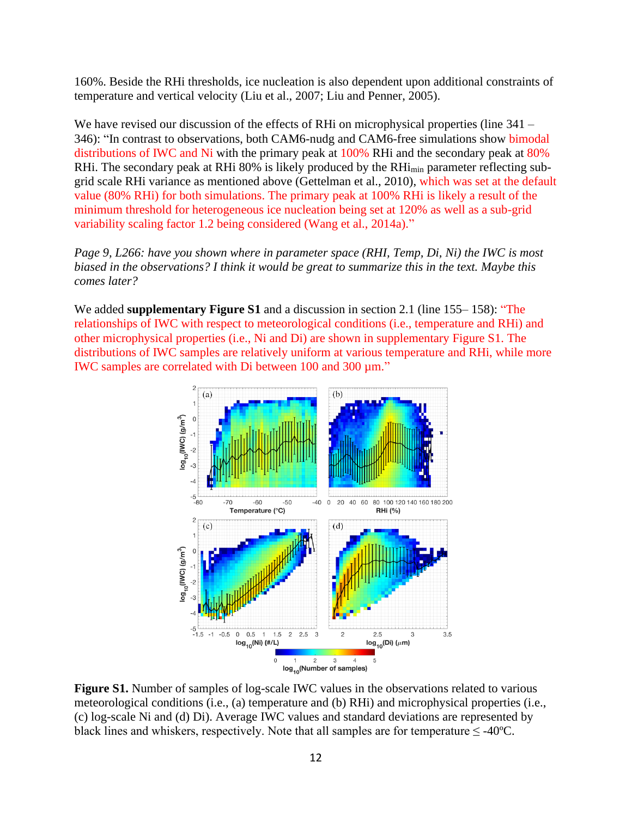160%. Beside the RHi thresholds, ice nucleation is also dependent upon additional constraints of temperature and vertical velocity (Liu et al., 2007; Liu and Penner, 2005).

We have revised our discussion of the effects of RHi on microphysical properties (line 341 – 346): "In contrast to observations, both CAM6-nudg and CAM6-free simulations show bimodal distributions of IWC and Ni with the primary peak at 100% RHi and the secondary peak at 80% RHi. The secondary peak at RHi 80% is likely produced by the RHi<sub>min</sub> parameter reflecting subgrid scale RHi variance as mentioned above (Gettelman et al., 2010), which was set at the default value (80% RHi) for both simulations. The primary peak at 100% RHi is likely a result of the minimum threshold for heterogeneous ice nucleation being set at 120% as well as a sub-grid variability scaling factor 1.2 being considered (Wang et al., 2014a)."

*Page 9, L266: have you shown where in parameter space (RHI, Temp, Di, Ni) the IWC is most biased in the observations? I think it would be great to summarize this in the text. Maybe this comes later?*

We added **supplementary Figure S1** and a discussion in section 2.1 (line 155– 158): "The relationships of IWC with respect to meteorological conditions (i.e., temperature and RHi) and other microphysical properties (i.e., Ni and Di) are shown in supplementary Figure S1. The distributions of IWC samples are relatively uniform at various temperature and RHi, while more IWC samples are correlated with Di between 100 and 300 µm."



**Figure S1.** Number of samples of log-scale IWC values in the observations related to various meteorological conditions (i.e., (a) temperature and (b) RHi) and microphysical properties (i.e., (c) log-scale Ni and (d) Di). Average IWC values and standard deviations are represented by black lines and whiskers, respectively. Note that all samples are for temperature  $\leq$  -40°C.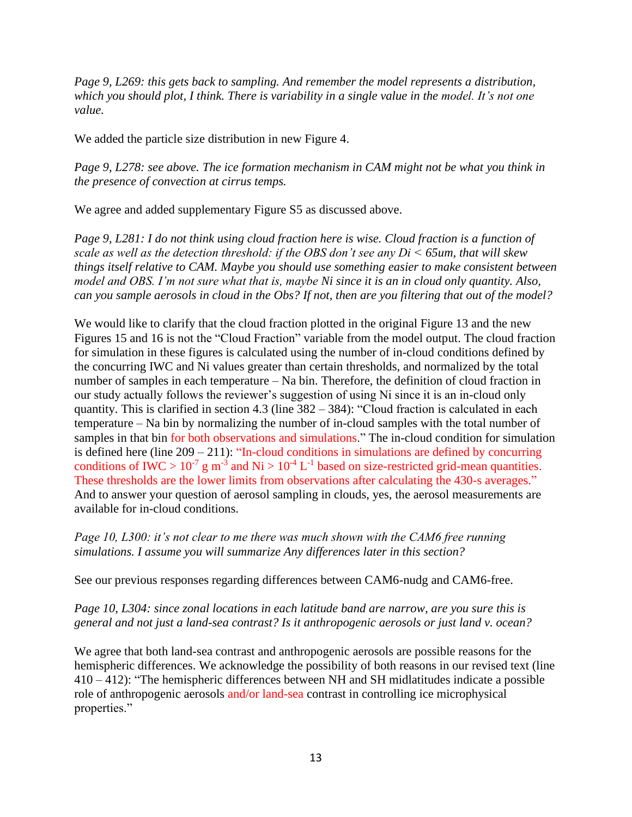*Page 9, L269: this gets back to sampling. And remember the model represents a distribution, which you should plot, I think. There is variability in a single value in the model. It's not one value.*

We added the particle size distribution in new Figure 4.

*Page 9, L278: see above. The ice formation mechanism in CAM might not be what you think in the presence of convection at cirrus temps.*

We agree and added supplementary Figure S5 as discussed above.

*Page 9, L281: I do not think using cloud fraction here is wise. Cloud fraction is a function of scale as well as the detection threshold: if the OBS don't see any Di < 65um, that will skew things itself relative to CAM. Maybe you should use something easier to make consistent between model and OBS. I'm not sure what that is, maybe Ni since it is an in cloud only quantity. Also, can you sample aerosols in cloud in the Obs? If not, then are you filtering that out of the model?*

We would like to clarify that the cloud fraction plotted in the original Figure 13 and the new Figures 15 and 16 is not the "Cloud Fraction" variable from the model output. The cloud fraction for simulation in these figures is calculated using the number of in-cloud conditions defined by the concurring IWC and Ni values greater than certain thresholds, and normalized by the total number of samples in each temperature – Na bin. Therefore, the definition of cloud fraction in our study actually follows the reviewer's suggestion of using Ni since it is an in-cloud only quantity. This is clarified in section 4.3 (line  $382 - 384$ ): "Cloud fraction is calculated in each temperature – Na bin by normalizing the number of in-cloud samples with the total number of samples in that bin for both observations and simulations." The in-cloud condition for simulation is defined here (line  $209 - 211$ ): "In-cloud conditions in simulations are defined by concurring conditions of IWC >  $10^{-7}$  g m<sup>-3</sup> and Ni >  $10^{-4}$  L<sup>-1</sup> based on size-restricted grid-mean quantities. These thresholds are the lower limits from observations after calculating the 430-s averages." And to answer your question of aerosol sampling in clouds, yes, the aerosol measurements are available for in-cloud conditions.

*Page 10, L300: it's not clear to me there was much shown with the CAM6 free running simulations. I assume you will summarize Any differences later in this section?*

See our previous responses regarding differences between CAM6-nudg and CAM6-free.

*Page 10, L304: since zonal locations in each latitude band are narrow, are you sure this is general and not just a land-sea contrast? Is it anthropogenic aerosols or just land v. ocean?*

We agree that both land-sea contrast and anthropogenic aerosols are possible reasons for the hemispheric differences. We acknowledge the possibility of both reasons in our revised text (line 410 – 412): "The hemispheric differences between NH and SH midlatitudes indicate a possible role of anthropogenic aerosols and/or land-sea contrast in controlling ice microphysical properties."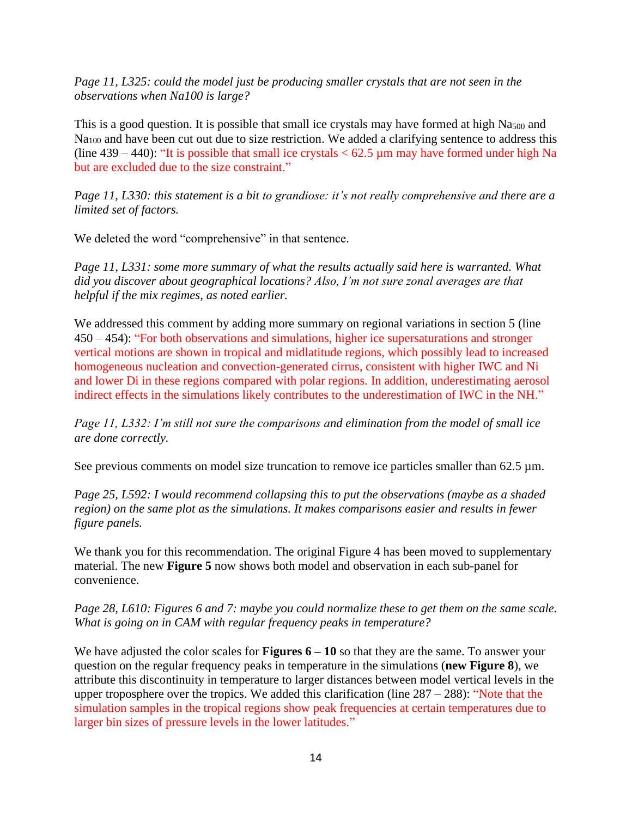*Page 11, L325: could the model just be producing smaller crystals that are not seen in the observations when Na100 is large?*

This is a good question. It is possible that small ice crystals may have formed at high  $Na_{500}$  and Na<sub>100</sub> and have been cut out due to size restriction. We added a clarifying sentence to address this (line  $439 - 440$ ): "It is possible that small ice crystals  $< 62.5 \mu$ m may have formed under high Na but are excluded due to the size constraint."

*Page 11, L330: this statement is a bit to grandiose: it's not really comprehensive and there are a limited set of factors.*

We deleted the word "comprehensive" in that sentence.

*Page 11, L331: some more summary of what the results actually said here is warranted. What did you discover about geographical locations? Also, I'm not sure zonal averages are that helpful if the mix regimes, as noted earlier.*

We addressed this comment by adding more summary on regional variations in section 5 (line 450 – 454): "For both observations and simulations, higher ice supersaturations and stronger vertical motions are shown in tropical and midlatitude regions, which possibly lead to increased homogeneous nucleation and convection-generated cirrus, consistent with higher IWC and Ni and lower Di in these regions compared with polar regions. In addition, underestimating aerosol indirect effects in the simulations likely contributes to the underestimation of IWC in the NH."

*Page 11, L332: I'm still not sure the comparisons and elimination from the model of small ice are done correctly.*

See previous comments on model size truncation to remove ice particles smaller than 62.5  $\mu$ m.

*Page 25, L592: I would recommend collapsing this to put the observations (maybe as a shaded region) on the same plot as the simulations. It makes comparisons easier and results in fewer figure panels.*

We thank you for this recommendation. The original Figure 4 has been moved to supplementary material. The new **Figure 5** now shows both model and observation in each sub-panel for convenience.

*Page 28, L610: Figures 6 and 7: maybe you could normalize these to get them on the same scale. What is going on in CAM with regular frequency peaks in temperature?*

We have adjusted the color scales for **Figures 6 – 10** so that they are the same. To answer your question on the regular frequency peaks in temperature in the simulations (**new Figure 8**), we attribute this discontinuity in temperature to larger distances between model vertical levels in the upper troposphere over the tropics. We added this clarification (line 287 – 288): "Note that the simulation samples in the tropical regions show peak frequencies at certain temperatures due to larger bin sizes of pressure levels in the lower latitudes."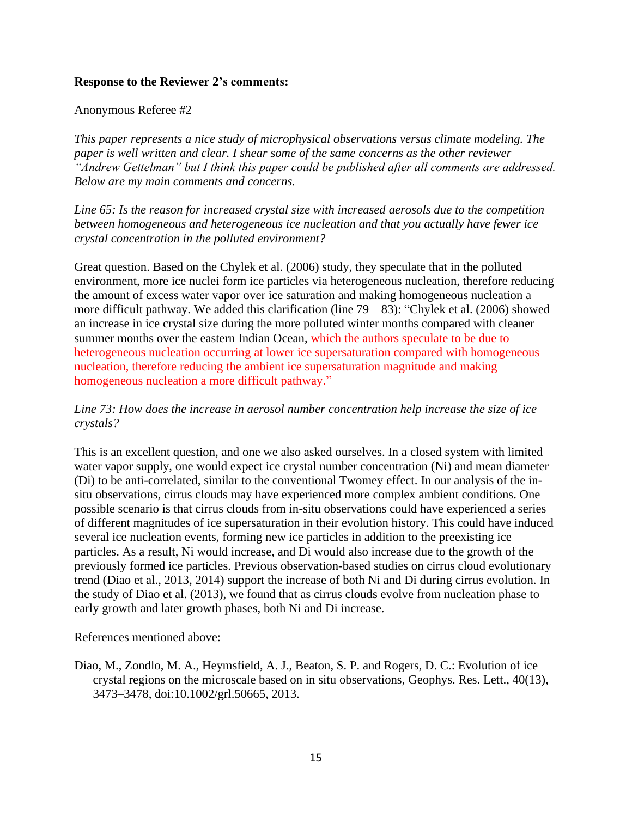## **Response to the Reviewer 2's comments:**

### Anonymous Referee #2

*This paper represents a nice study of microphysical observations versus climate modeling. The paper is well written and clear. I shear some of the same concerns as the other reviewer "Andrew Gettelman" but I think this paper could be published after all comments are addressed. Below are my main comments and concerns.*

*Line 65: Is the reason for increased crystal size with increased aerosols due to the competition between homogeneous and heterogeneous ice nucleation and that you actually have fewer ice crystal concentration in the polluted environment?*

Great question. Based on the Chylek et al. (2006) study, they speculate that in the polluted environment, more ice nuclei form ice particles via heterogeneous nucleation, therefore reducing the amount of excess water vapor over ice saturation and making homogeneous nucleation a more difficult pathway. We added this clarification (line 79 – 83): "Chylek et al. (2006) showed an increase in ice crystal size during the more polluted winter months compared with cleaner summer months over the eastern Indian Ocean, which the authors speculate to be due to heterogeneous nucleation occurring at lower ice supersaturation compared with homogeneous nucleation, therefore reducing the ambient ice supersaturation magnitude and making homogeneous nucleation a more difficult pathway."

## *Line 73: How does the increase in aerosol number concentration help increase the size of ice crystals?*

This is an excellent question, and one we also asked ourselves. In a closed system with limited water vapor supply, one would expect ice crystal number concentration (Ni) and mean diameter (Di) to be anti-correlated, similar to the conventional Twomey effect. In our analysis of the insitu observations, cirrus clouds may have experienced more complex ambient conditions. One possible scenario is that cirrus clouds from in-situ observations could have experienced a series of different magnitudes of ice supersaturation in their evolution history. This could have induced several ice nucleation events, forming new ice particles in addition to the preexisting ice particles. As a result, Ni would increase, and Di would also increase due to the growth of the previously formed ice particles. Previous observation-based studies on cirrus cloud evolutionary trend (Diao et al., 2013, 2014) support the increase of both Ni and Di during cirrus evolution. In the study of Diao et al. (2013), we found that as cirrus clouds evolve from nucleation phase to early growth and later growth phases, both Ni and Di increase.

References mentioned above:

Diao, M., Zondlo, M. A., Heymsfield, A. J., Beaton, S. P. and Rogers, D. C.: Evolution of ice crystal regions on the microscale based on in situ observations, Geophys. Res. Lett., 40(13), 3473–3478, doi:10.1002/grl.50665, 2013.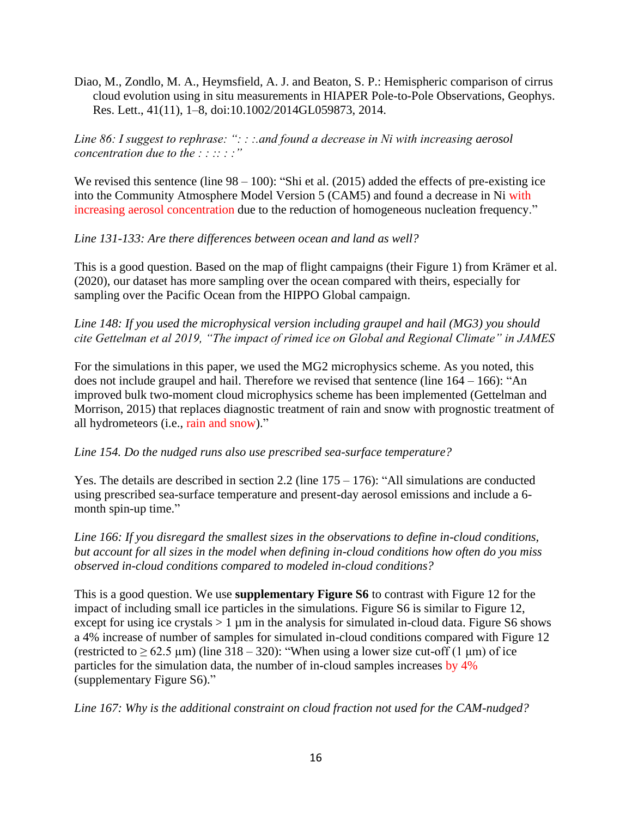Diao, M., Zondlo, M. A., Heymsfield, A. J. and Beaton, S. P.: Hemispheric comparison of cirrus cloud evolution using in situ measurements in HIAPER Pole-to-Pole Observations, Geophys. Res. Lett., 41(11), 1–8, doi:10.1002/2014GL059873, 2014.

*Line 86: I suggest to rephrase: ": : :.and found a decrease in Ni with increasing aerosol concentration due to the : : :: : :*"

We revised this sentence (line  $98 - 100$ ): "Shi et al. (2015) added the effects of pre-existing ice into the Community Atmosphere Model Version 5 (CAM5) and found a decrease in Ni with increasing aerosol concentration due to the reduction of homogeneous nucleation frequency."

*Line 131-133: Are there differences between ocean and land as well?*

This is a good question. Based on the map of flight campaigns (their Figure 1) from Krämer et al. (2020), our dataset has more sampling over the ocean compared with theirs, especially for sampling over the Pacific Ocean from the HIPPO Global campaign.

*Line 148: If you used the microphysical version including graupel and hail (MG3) you should cite Gettelman et al 2019, "The impact of rimed ice on Global and Regional Climate" in JAMES*

For the simulations in this paper, we used the MG2 microphysics scheme. As you noted, this does not include graupel and hail. Therefore we revised that sentence (line  $164 - 166$ ): "An improved bulk two-moment cloud microphysics scheme has been implemented (Gettelman and Morrison, 2015) that replaces diagnostic treatment of rain and snow with prognostic treatment of all hydrometeors (i.e., rain and snow)."

## *Line 154. Do the nudged runs also use prescribed sea-surface temperature?*

Yes. The details are described in section 2.2 (line 175 – 176): "All simulations are conducted using prescribed sea-surface temperature and present-day aerosol emissions and include a 6 month spin-up time."

*Line 166: If you disregard the smallest sizes in the observations to define in-cloud conditions, but account for all sizes in the model when defining in-cloud conditions how often do you miss observed in-cloud conditions compared to modeled in-cloud conditions?*

This is a good question. We use **supplementary Figure S6** to contrast with Figure 12 for the impact of including small ice particles in the simulations. Figure S6 is similar to Figure 12, except for using ice crystals  $> 1 \mu m$  in the analysis for simulated in-cloud data. Figure S6 shows a 4% increase of number of samples for simulated in-cloud conditions compared with Figure 12 (restricted to  $\geq 62.5 \,\mu$ m) (line 318 – 320): "When using a lower size cut-off (1  $\mu$ m) of ice particles for the simulation data, the number of in-cloud samples increases by 4% (supplementary Figure S6)."

*Line 167: Why is the additional constraint on cloud fraction not used for the CAM-nudged?*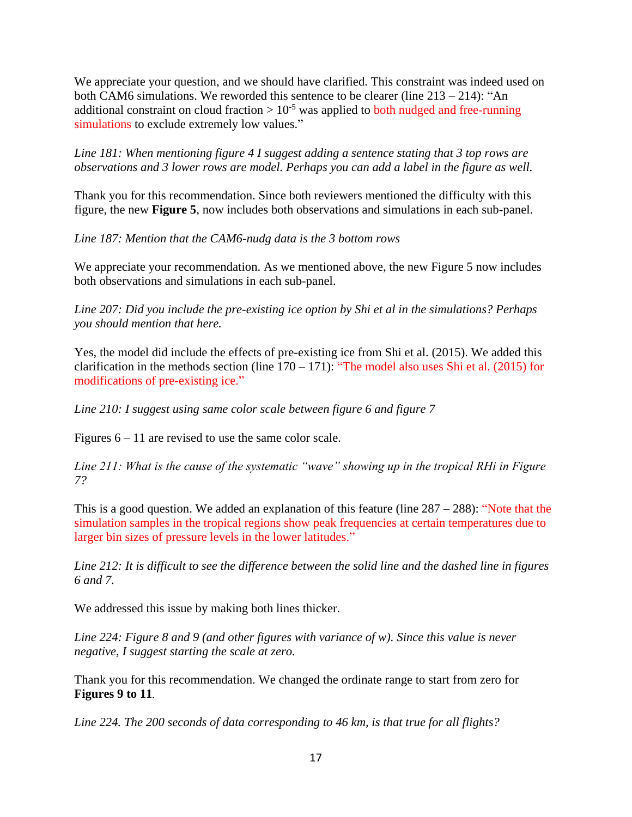We appreciate your question, and we should have clarified. This constraint was indeed used on both CAM6 simulations. We reworded this sentence to be clearer (line 213 – 214): "An additional constraint on cloud fraction  $> 10^{-5}$  was applied to both nudged and free-running simulations to exclude extremely low values."

*Line 181: When mentioning figure 4 I suggest adding a sentence stating that 3 top rows are observations and 3 lower rows are model. Perhaps you can add a label in the figure as well.*

Thank you for this recommendation. Since both reviewers mentioned the difficulty with this figure, the new **Figure 5**, now includes both observations and simulations in each sub-panel.

*Line 187: Mention that the CAM6-nudg data is the 3 bottom rows*

We appreciate your recommendation. As we mentioned above, the new Figure 5 now includes both observations and simulations in each sub-panel.

*Line 207: Did you include the pre-existing ice option by Shi et al in the simulations? Perhaps you should mention that here.*

Yes, the model did include the effects of pre-existing ice from Shi et al. (2015). We added this clarification in the methods section (line  $170 - 171$ ): "The model also uses Shi et al. (2015) for modifications of pre-existing ice."

*Line 210: I suggest using same color scale between figure 6 and figure 7*

Figures 6 – 11 are revised to use the same color scale.

*Line 211: What is the cause of the systematic "wave" showing up in the tropical RHi in Figure 7?*

This is a good question. We added an explanation of this feature (line  $287 - 288$ ): "Note that the simulation samples in the tropical regions show peak frequencies at certain temperatures due to larger bin sizes of pressure levels in the lower latitudes."

*Line 212: It is difficult to see the difference between the solid line and the dashed line in figures 6 and 7.*

We addressed this issue by making both lines thicker.

*Line 224: Figure 8 and 9 (and other figures with variance of w). Since this value is never negative, I suggest starting the scale at zero.*

Thank you for this recommendation. We changed the ordinate range to start from zero for **Figures 9 to 11.**

*Line 224. The 200 seconds of data corresponding to 46 km, is that true for all flights?*